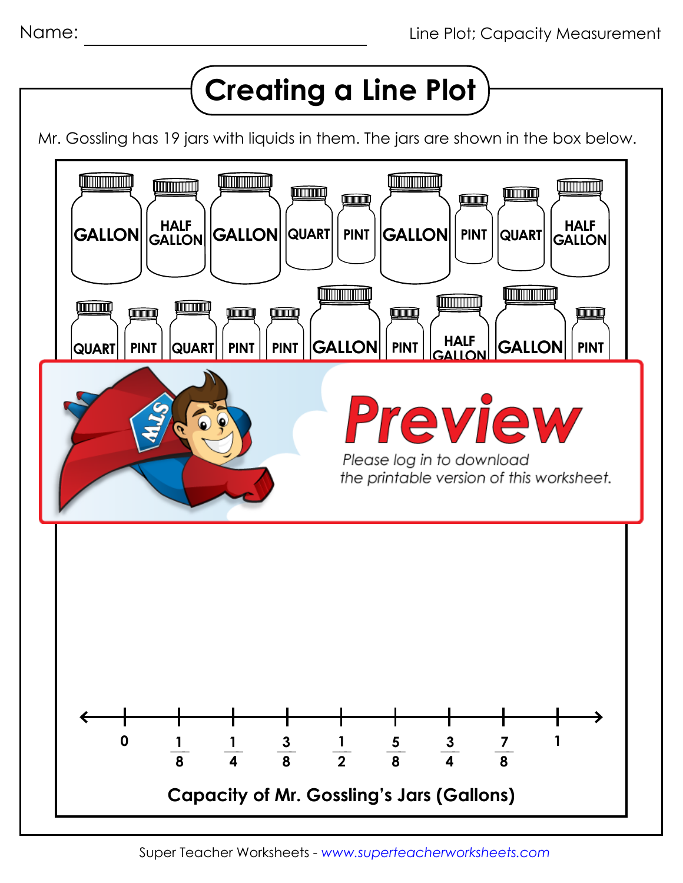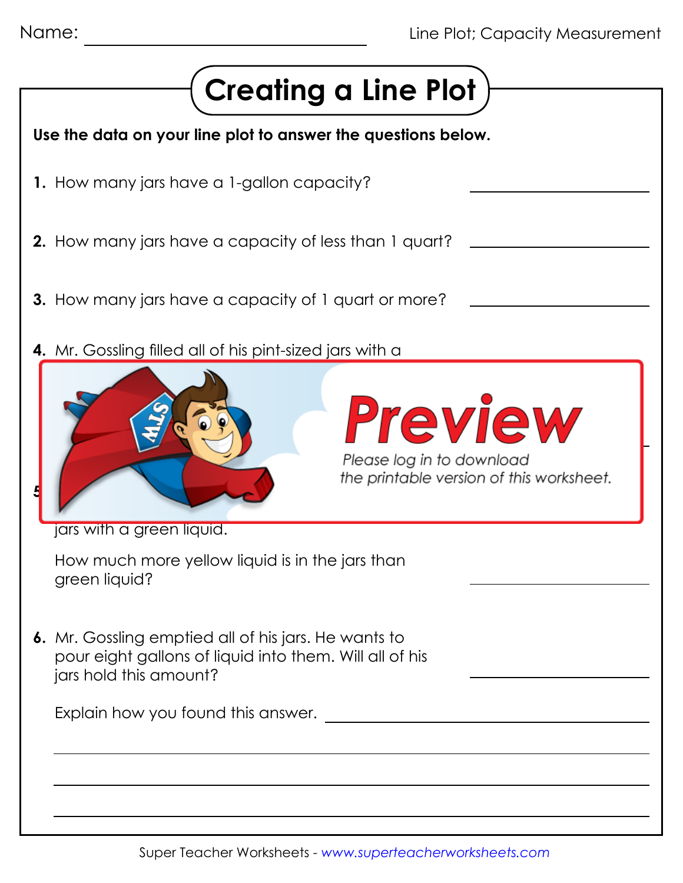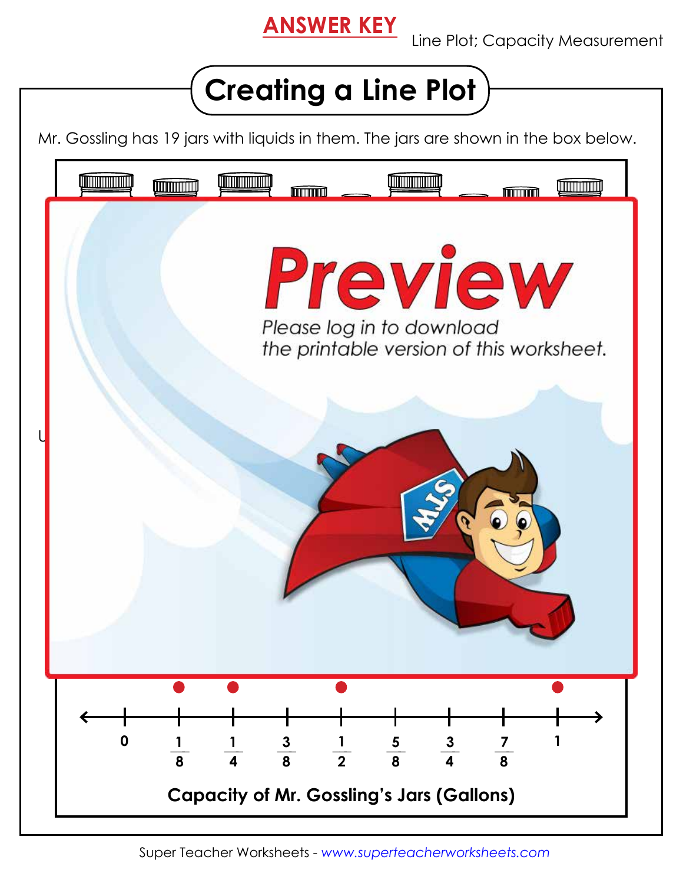## **ANSWER KEY**

Line Plot; Capacity Measurement



Mr. Gossling has 19 jars with liquids in them. The jars are shown in the box below.



Super Teacher Worksheets - *www.superteacherworksheets.com*